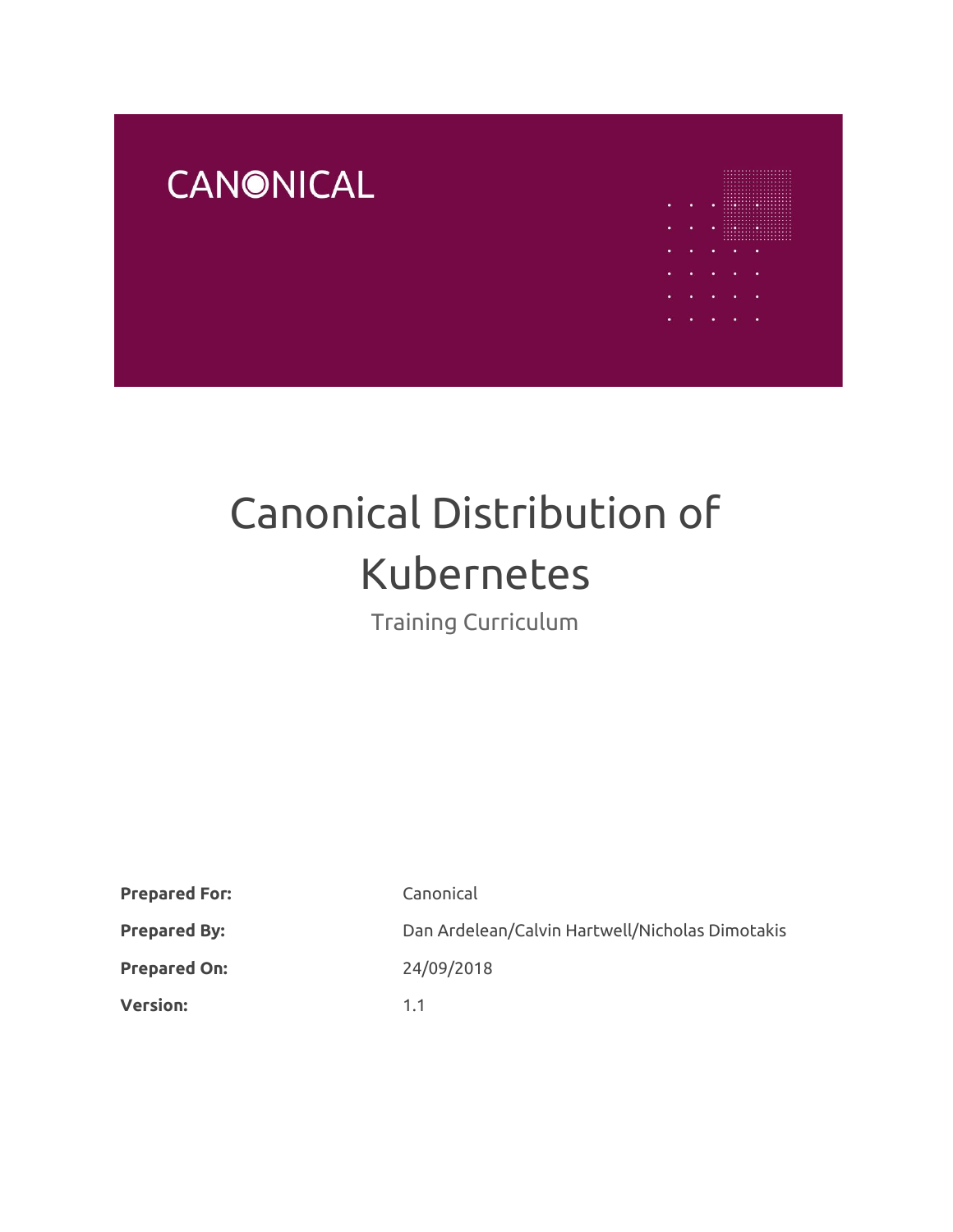# **CANONICAL**



# Canonical Distribution of Kubernetes

Training Curriculum

| <b>Prepared For:</b> | Canonical                                       |
|----------------------|-------------------------------------------------|
| <b>Prepared By:</b>  | Dan Ardelean/Calvin Hartwell/Nicholas Dimotakis |
| <b>Prepared On:</b>  | 24/09/2018                                      |
| <b>Version:</b>      | 1.1                                             |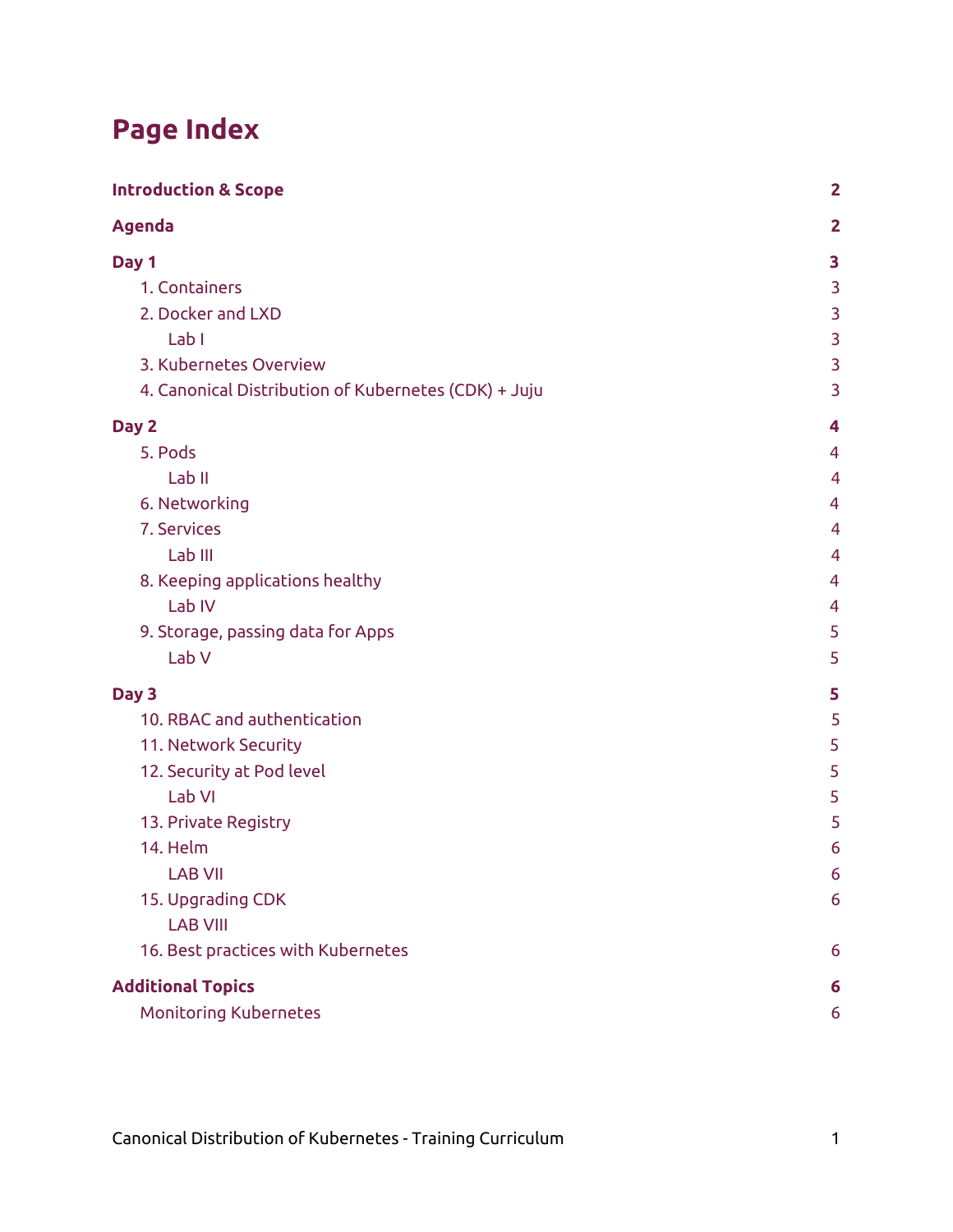# **Page Index**

| <b>Introduction &amp; Scope</b>                      | $\overline{2}$ |
|------------------------------------------------------|----------------|
| <b>Agenda</b>                                        | $\overline{2}$ |
| Day 1                                                | 3              |
| 1. Containers                                        | 3              |
| 2. Docker and LXD                                    | 3              |
| Lab I                                                | 3              |
| 3. Kubernetes Overview                               | 3              |
| 4. Canonical Distribution of Kubernetes (CDK) + Juju | 3              |
| Day 2                                                | 4              |
| 5. Pods                                              | 4              |
| Lab <sub>II</sub>                                    | $\overline{4}$ |
| 6. Networking                                        | 4              |
| 7. Services                                          | $\overline{4}$ |
| Lab III                                              | 4              |
| 8. Keeping applications healthy                      | 4              |
| Lab IV                                               | $\overline{4}$ |
| 9. Storage, passing data for Apps                    | 5              |
| Lab V                                                | 5              |
| Day 3                                                | 5              |
| 10. RBAC and authentication                          | 5              |
| 11. Network Security                                 | 5              |
| 12. Security at Pod level                            | 5              |
| Lab VI                                               | 5              |
| 13. Private Registry                                 | 5              |
| 14. Helm                                             | 6              |
| <b>LAB VII</b>                                       | 6              |
| 15. Upgrading CDK                                    | 6              |
| <b>LAB VIII</b>                                      |                |
| 16. Best practices with Kubernetes                   | 6              |
| <b>Additional Topics</b>                             | 6              |
| <b>Monitoring Kubernetes</b>                         | 6              |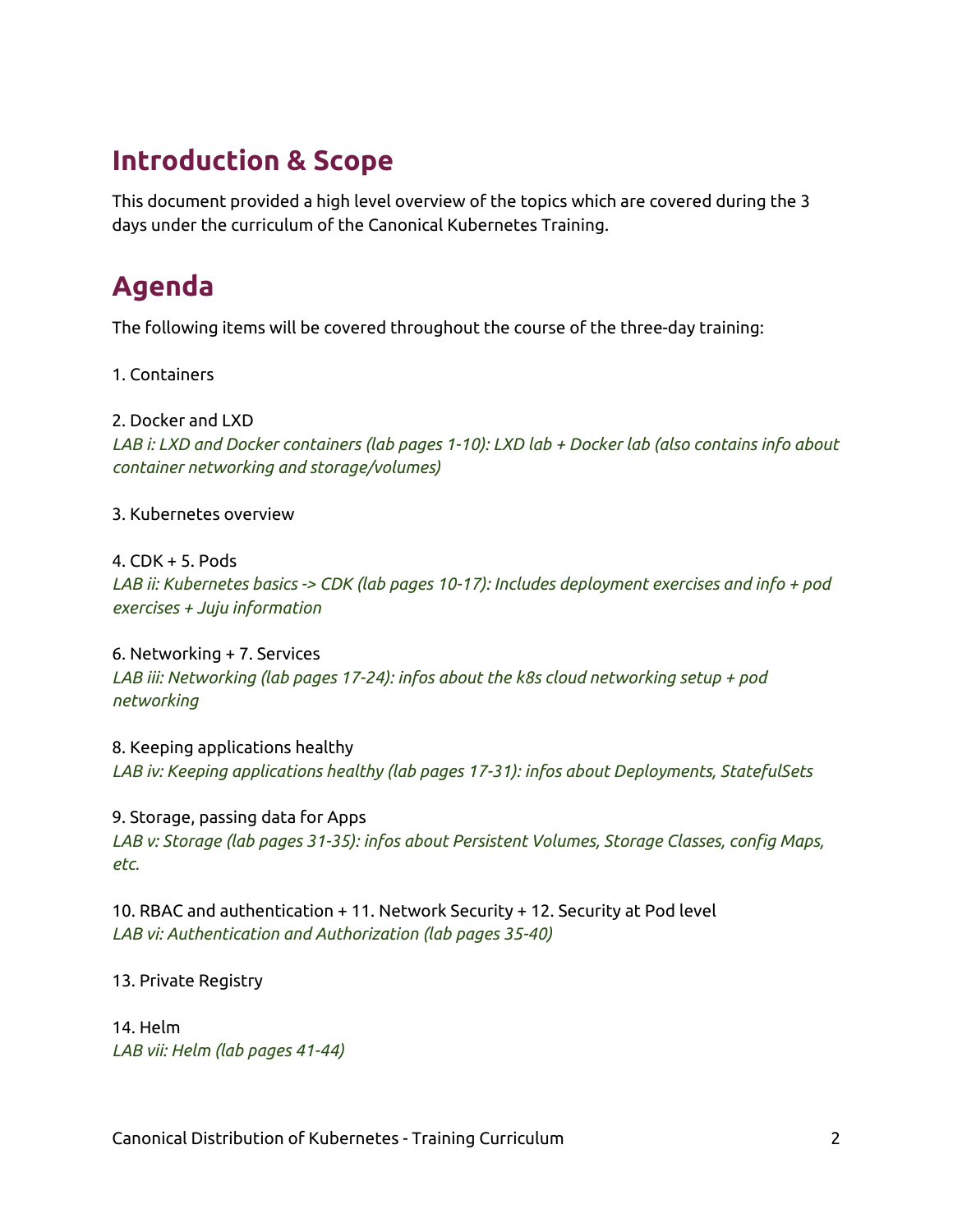# <span id="page-2-0"></span>**Introduction & Scope**

This document provided a high level overview of the topics which are covered during the 3 days under the curriculum of the Canonical Kubernetes Training.

# <span id="page-2-1"></span>**Agenda**

The following items will be covered throughout the course of the three-day training:

1. Containers

#### 2. Docker and LXD

*LAB i: LXD and Docker containers (lab pages 1-10): LXD lab + Docker lab (also contains info about container networking and storage/volumes)*

#### 3. Kubernetes overview

#### 4. CDK + 5. Pods

*LAB ii: Kubernetes basics -> CDK (lab pages 10-17): Includes deployment exercises and info + pod exercises + Juju information*

6. Networking + 7. Services *LAB iii: Networking (lab pages 17-24): infos about the k8s cloud networking setup + pod networking*

8. Keeping applications healthy *LAB iv: Keeping applications healthy (lab pages 17-31): infos about Deployments, StatefulSets*

9. Storage, passing data for Apps *LAB v: Storage (lab pages 31-35): infos about Persistent Volumes, Storage Classes, config Maps, etc.*

10. RBAC and authentication + 11. Network Security + 12. Security at Pod level *LAB vi: Authentication and Authorization (lab pages 35-40)*

#### 13. Private Registry

14. Helm *LAB vii: Helm (lab pages 41-44)*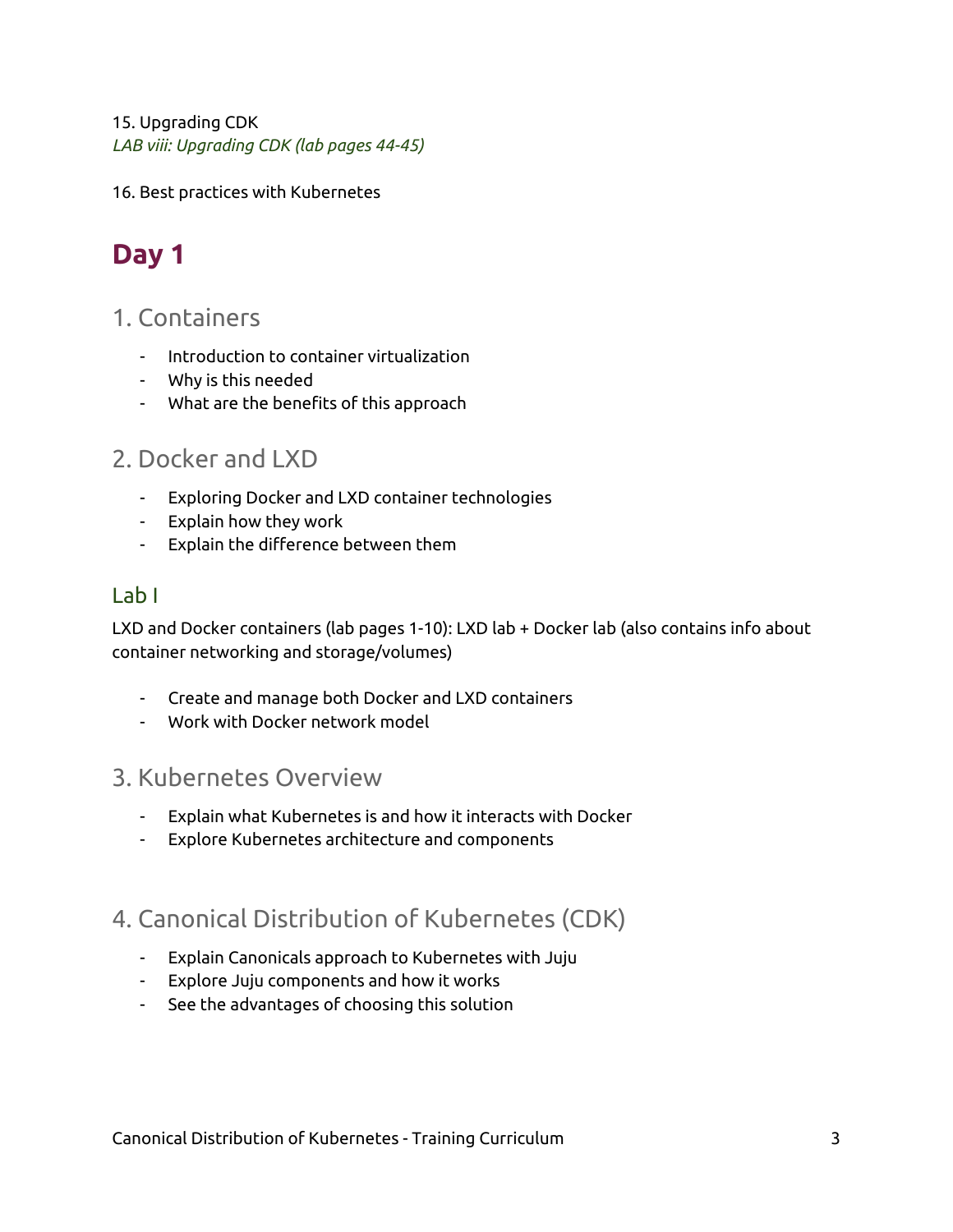#### 15. Upgrading CDK

*LAB viii: Upgrading CDK (lab pages 44-45)*

<span id="page-3-0"></span>16. Best practices with Kubernetes

# **Day 1**

#### <span id="page-3-1"></span>1. Containers

- Introduction to container virtualization
- Why is this needed
- What are the benefits of this approach

## <span id="page-3-2"></span>2. Docker and LXD

- Exploring Docker and LXD container technologies
- Explain how they work
- Explain the difference between them

#### <span id="page-3-3"></span>Lab I

LXD and Docker containers (lab pages 1-10): LXD lab + Docker lab (also contains info about container networking and storage/volumes)

- Create and manage both Docker and LXD containers
- Work with Docker network model

#### <span id="page-3-4"></span>3. Kubernetes Overview

- Explain what Kubernetes is and how it interacts with Docker
- Explore Kubernetes architecture and components

## <span id="page-3-5"></span>4. Canonical Distribution of Kubernetes (CDK)

- Explain Canonicals approach to Kubernetes with Juju
- Explore Juju components and how it works
- See the advantages of choosing this solution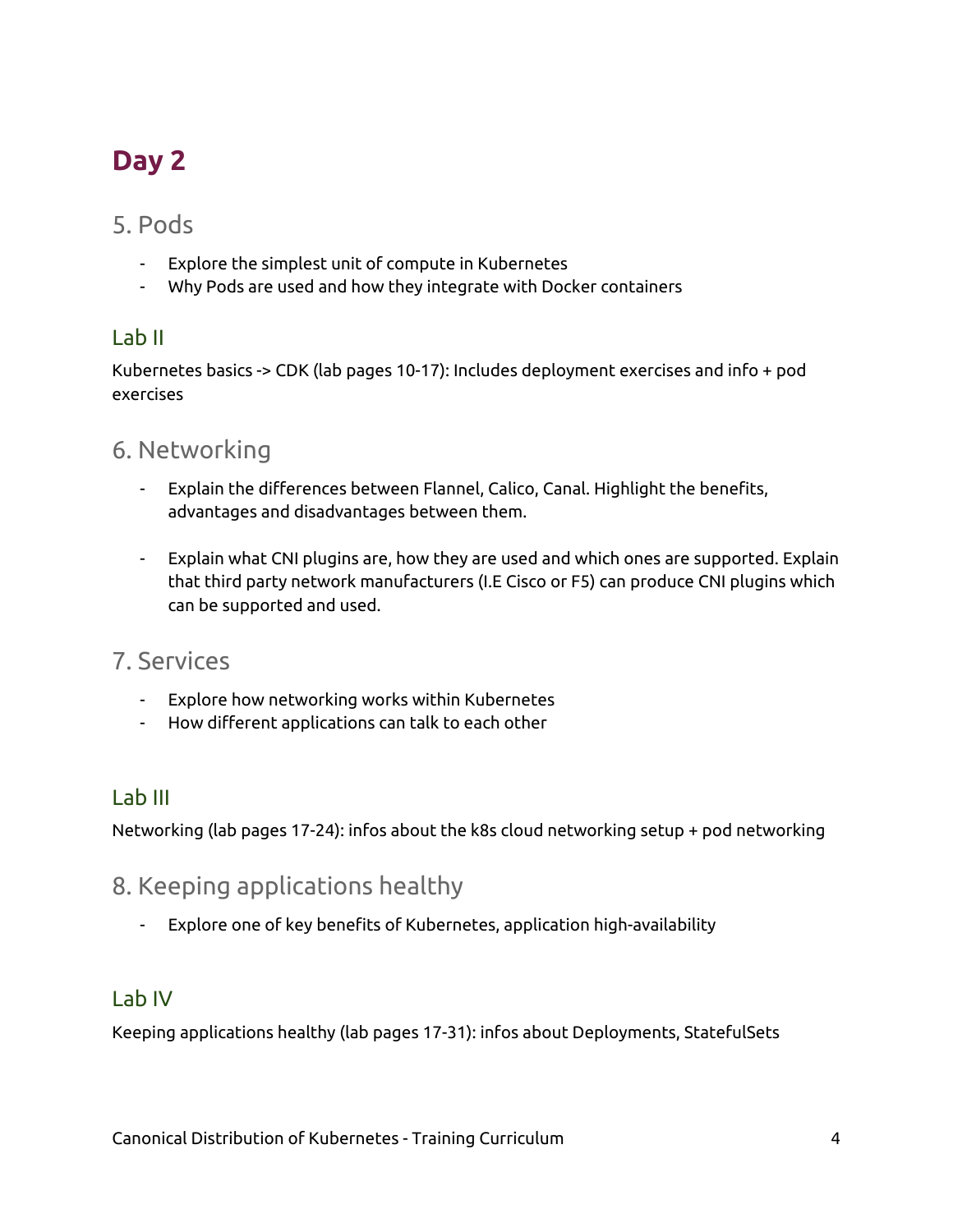# <span id="page-4-0"></span>**Day 2**

#### <span id="page-4-1"></span>5. Pods

- Explore the simplest unit of compute in Kubernetes
- Why Pods are used and how they integrate with Docker containers

#### <span id="page-4-2"></span>Lab II

Kubernetes basics -> CDK (lab pages 10-17): Includes deployment exercises and info + pod exercises

## <span id="page-4-3"></span>6. Networking

- Explain the differences between Flannel, Calico, Canal. Highlight the benefits, advantages and disadvantages between them.
- Explain what CNI plugins are, how they are used and which ones are supported. Explain that third party network manufacturers (I.E Cisco or F5) can produce CNI plugins which can be supported and used.

## <span id="page-4-4"></span>7. Services

- Explore how networking works within Kubernetes
- How different applications can talk to each other

#### <span id="page-4-5"></span>Lab III

<span id="page-4-6"></span>Networking (lab pages 17-24): infos about the k8s cloud networking setup + pod networking

## 8. Keeping applications healthy

- Explore one of key benefits of Kubernetes, application high-availability

#### <span id="page-4-7"></span>Lab IV

Keeping applications healthy (lab pages 17-31): infos about Deployments, StatefulSets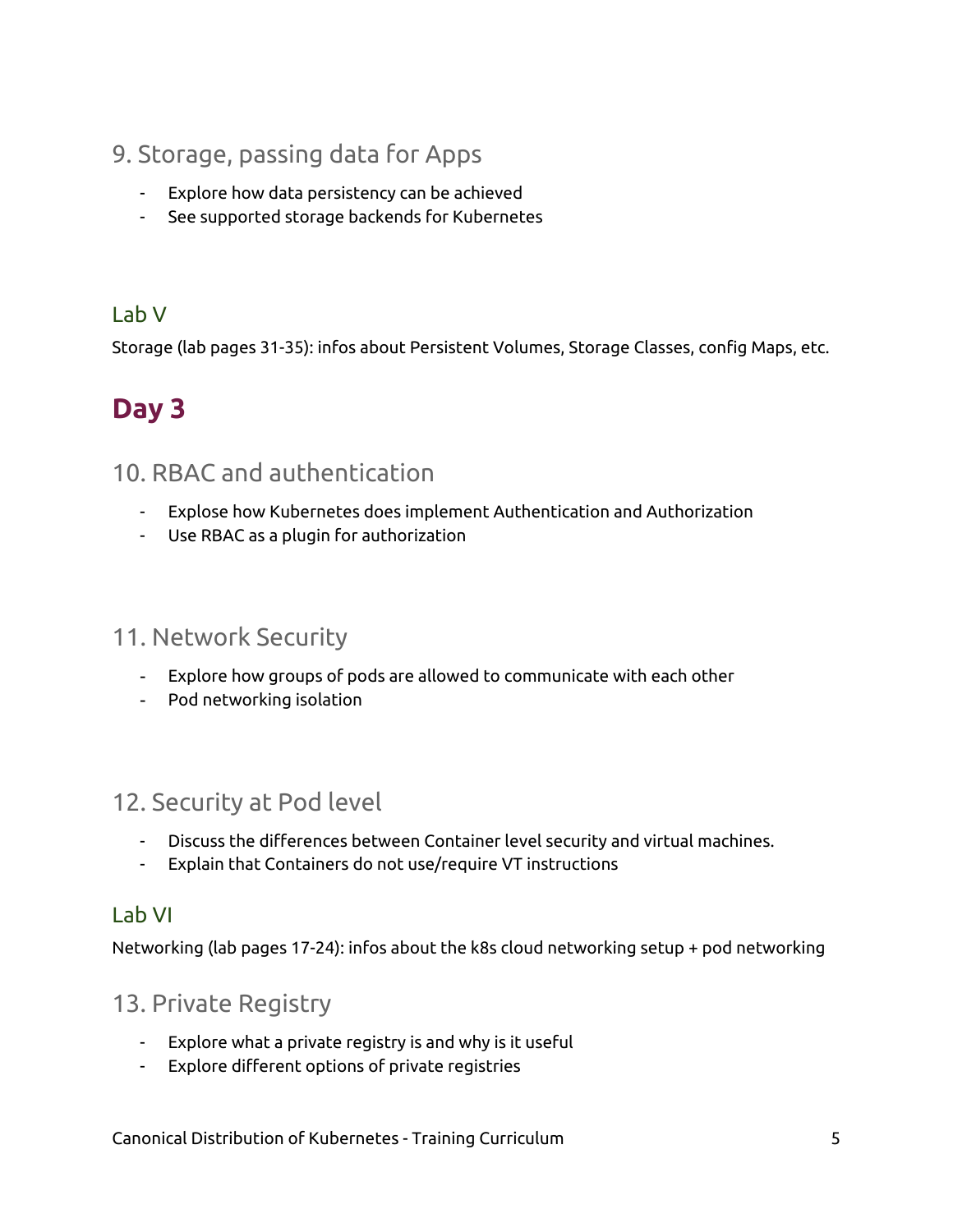## <span id="page-5-0"></span>9. Storage, passing data for Apps

- Explore how data persistency can be achieved
- See supported storage backends for Kubernetes

## <span id="page-5-1"></span>Lab V

<span id="page-5-2"></span>Storage (lab pages 31-35): infos about Persistent Volumes, Storage Classes, config Maps, etc.

# **Day 3**

## <span id="page-5-3"></span>10. RBAC and authentication

- Explose how Kubernetes does implement Authentication and Authorization
- Use RBAC as a plugin for authorization

#### <span id="page-5-4"></span>11. Network Security

- Explore how groups of pods are allowed to communicate with each other
- Pod networking isolation

## <span id="page-5-5"></span>12. Security at Pod level

- Discuss the differences between Container level security and virtual machines.
- Explain that Containers do not use/require VT instructions

#### <span id="page-5-6"></span>Lab VI

<span id="page-5-7"></span>Networking (lab pages 17-24): infos about the k8s cloud networking setup + pod networking

#### 13. Private Registry

- Explore what a private registry is and why is it useful
- Explore different options of private registries

Canonical Distribution of Kubernetes - Training Curriculum 5